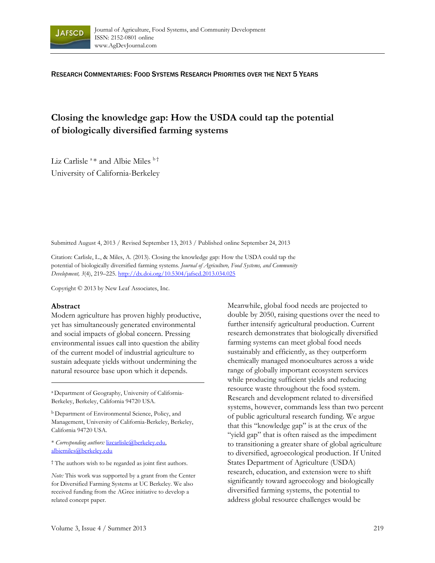

RESEARCH COMMENTARIES: FOOD SYSTEMS RESEARCH PRIORITIES OVER THE NEXT 5 YEARS

# **Closing the knowledge gap: How the USDA could tap the potential of biologically diversified farming systems**

Liz Carlisle<sup>a</sup> \* and Albie Miles  $h^{\dagger}$ University of California-Berkeley

Submitted August 4, 2013 / Revised September 13, 2013 / Published online September 24, 2013

Citation: Carlisle, L., & Miles, A. (2013). Closing the knowledge gap: How the USDA could tap the potential of biologically diversified farming systems. *Journal of Agriculture, Food Systems, and Community Development, 3*(4), 219–225. http://dx.doi.org/10.5304/jafscd.2013.034.025

Copyright © 2013 by New Leaf Associates, Inc.

#### **Abstract**

Modern agriculture has proven highly productive, yet has simultaneously generated environmental and social impacts of global concern. Pressing environmental issues call into question the ability of the current model of industrial agriculture to sustain adequate yields without undermining the natural resource base upon which it depends.

<sup>a</sup> Department of Geography, University of California-Berkeley, Berkeley, California 94720 USA.

b Department of Environmental Science, Policy, and Management, University of California-Berkeley, Berkeley, California 94720 USA.

\* *Corresponding authors:* lizcarlisle@berkeley.edu, albiemiles@berkeley.edu

† The authors wish to be regarded as joint first authors.

*Note:* This work was supported by a grant from the Center for Diversified Farming Systems at UC Berkeley. We also received funding from the AGree initiative to develop a related concept paper.

Meanwhile, global food needs are projected to double by 2050, raising questions over the need to further intensify agricultural production. Current research demonstrates that biologically diversified farming systems can meet global food needs sustainably and efficiently, as they outperform chemically managed monocultures across a wide range of globally important ecosystem services while producing sufficient yields and reducing resource waste throughout the food system. Research and development related to diversified systems, however, commands less than two percent of public agricultural research funding. We argue that this "knowledge gap" is at the crux of the "yield gap" that is often raised as the impediment to transitioning a greater share of global agriculture to diversified, agroecological production. If United States Department of Agriculture (USDA) research, education, and extension were to shift significantly toward agroecology and biologically diversified farming systems, the potential to address global resource challenges would be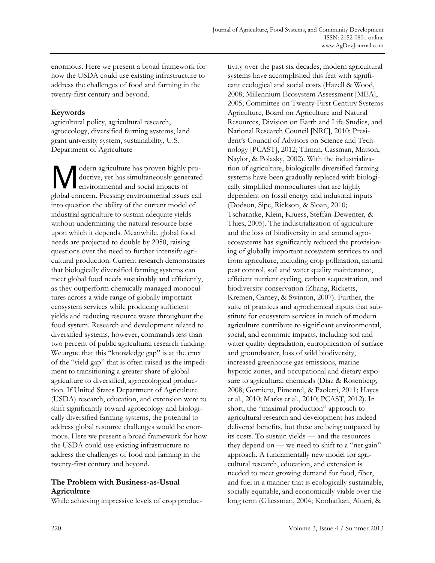enormous. Here we present a broad framework for how the USDA could use existing infrastructure to address the challenges of food and farming in the twenty-first century and beyond.

# **Keywords**

agricultural policy, agricultural research, agroecology, diversified farming systems, land grant university system, sustainability, U.S. Department of Agriculture

odern agriculture has proven highly productive, yet has simultaneously generated environmental and social impacts of global concern. Pressing environmental issues call into question the ability of the current model of industrial agriculture to sustain adequate yields without undermining the natural resource base upon which it depends. Meanwhile, global food needs are projected to double by 2050, raising questions over the need to further intensify agricultural production. Current research demonstrates that biologically diversified farming systems can meet global food needs sustainably and efficiently, as they outperform chemically managed monocultures across a wide range of globally important ecosystem services while producing sufficient yields and reducing resource waste throughout the food system. Research and development related to diversified systems, however, commands less than two percent of public agricultural research funding. We argue that this "knowledge gap" is at the crux of the "yield gap" that is often raised as the impediment to transitioning a greater share of global agriculture to diversified, agroecological production. If United States Department of Agriculture (USDA) research, education, and extension were to shift significantly toward agroecology and biologically diversified farming systems, the potential to address global resource challenges would be enormous. Here we present a broad framework for how the USDA could use existing infrastructure to address the challenges of food and farming in the twenty-first century and beyond. M

# **The Problem with Business-as-Usual Agriculture**

While achieving impressive levels of crop produc-

tivity over the past six decades, modern agricultural systems have accomplished this feat with significant ecological and social costs (Hazell & Wood, 2008; Millennium Ecosystem Assessment [MEA], 2005; Committee on Twenty-First Century Systems Agriculture, Board on Agriculture and Natural Resources, Division on Earth and Life Studies, and National Research Council [NRC], 2010; President's Council of Advisors on Science and Technology [PCAST], 2012; Tilman, Cassman, Matson, Naylor, & Polasky, 2002). With the industrialization of agriculture, biologically diversified farming systems have been gradually replaced with biologically simplified monocultures that are highly dependent on fossil energy and industrial inputs (Dodson, Sipe, Rickson, & Sloan, 2010; Tscharntke, Klein, Kruess, Steffan-Dewenter, & Thies, 2005). The industrialization of agriculture and the loss of biodiversity in and around agroecosystems has significantly reduced the provisioning of globally important ecosystem services to and from agriculture, including crop pollination, natural pest control, soil and water quality maintenance, efficient nutrient cycling, carbon sequestration, and biodiversity conservation (Zhang, Ricketts, Kremen, Carney, & Swinton, 2007). Further, the suite of practices and agrochemical inputs that substitute for ecosystem services in much of modern agriculture contribute to significant environmental, social, and economic impacts, including soil and water quality degradation, eutrophication of surface and groundwater, loss of wild biodiversity, increased greenhouse gas emissions, marine hypoxic zones, and occupational and dietary exposure to agricultural chemicals (Diaz & Rosenberg, 2008; Gomiero, Pimentel, & Paoletti, 2011; Hayes et al., 2010; Marks et al., 2010; PCAST, 2012). In short, the "maximal production" approach to agricultural research and development has indeed delivered benefits, but these are being outpaced by its costs. To sustain yields — and the resources they depend on — we need to shift to a "net gain" approach. A fundamentally new model for agricultural research, education, and extension is needed to meet growing demand for food, fiber, and fuel in a manner that is ecologically sustainable, socially equitable, and economically viable over the long term (Gliessman, 2004; Koohafkan, Altieri, &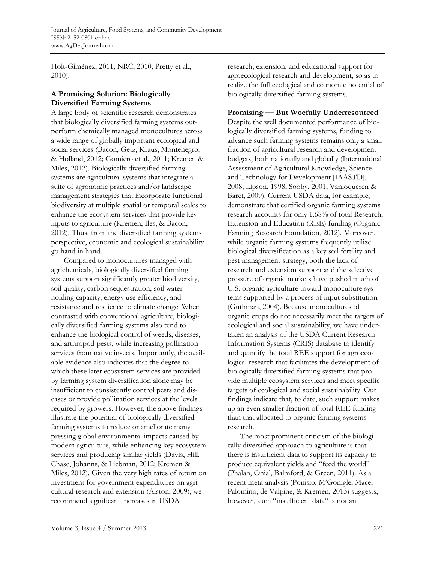Holt-Giménez, 2011; NRC, 2010; Pretty et al., 2010).

#### **A Promising Solution: Biologically Diversified Farming Systems**

A large body of scientific research demonstrates that biologically diversified farming systems outperform chemically managed monocultures across a wide range of globally important ecological and social services (Bacon, Getz, Kraus, Montenegro, & Holland, 2012; Gomiero et al., 2011; Kremen & Miles, 2012). Biologically diversified farming systems are agricultural systems that integrate a suite of agronomic practices and/or landscape management strategies that incorporate functional biodiversity at multiple spatial or temporal scales to enhance the ecosystem services that provide key inputs to agriculture (Kremen, Iles, & Bacon, 2012). Thus, from the diversified farming systems perspective, economic and ecological sustainability go hand in hand.

 Compared to monocultures managed with agrichemicals, biologically diversified farming systems support significantly greater biodiversity, soil quality, carbon sequestration, soil waterholding capacity, energy use efficiency, and resistance and resilience to climate change. When contrasted with conventional agriculture, biologically diversified farming systems also tend to enhance the biological control of weeds, diseases, and arthropod pests, while increasing pollination services from native insects. Importantly, the available evidence also indicates that the degree to which these later ecosystem services are provided by farming system diversification alone may be insufficient to consistently control pests and diseases or provide pollination services at the levels required by growers. However, the above findings illustrate the potential of biologically diversified farming systems to reduce or ameliorate many pressing global environmental impacts caused by modern agriculture, while enhancing key ecosystem services and producing similar yields (Davis, Hill, Chase, Johanns, & Liebman, 2012; Kremen & Miles, 2012). Given the very high rates of return on investment for government expenditures on agricultural research and extension (Alston, 2009), we recommend significant increases in USDA

research, extension, and educational support for agroecological research and development, so as to realize the full ecological and economic potential of biologically diversified farming systems.

### **Promising — But Woefully Underresourced**

Despite the well documented performance of biologically diversified farming systems, funding to advance such farming systems remains only a small fraction of agricultural research and development budgets, both nationally and globally (International Assessment of Agricultural Knowledge, Science and Technology for Development [IAASTD], 2008; Lipson, 1998; Sooby, 2001; Vanloqueren & Baret, 2009). Current USDA data, for example, demonstrate that certified organic farming systems research accounts for only 1.68% of total Research, Extension and Education (REE) funding (Organic Farming Research Foundation, 2012). Moreover, while organic farming systems frequently utilize biological diversification as a key soil fertility and pest management strategy, both the lack of research and extension support and the selective pressure of organic markets have pushed much of U.S. organic agriculture toward monoculture systems supported by a process of input substitution (Guthman, 2004). Because monocultures of organic crops do not necessarily meet the targets of ecological and social sustainability, we have undertaken an analysis of the USDA Current Research Information Systems (CRIS) database to identify and quantify the total REE support for agroecological research that facilitates the development of biologically diversified farming systems that provide multiple ecosystem services and meet specific targets of ecological and social sustainability. Our findings indicate that, to date, such support makes up an even smaller fraction of total REE funding than that allocated to organic farming systems research.

 The most prominent criticism of the biologically diversified approach to agriculture is that there is insufficient data to support its capacity to produce equivalent yields and "feed the world" (Phalan, Onial, Balmford, & Green, 2011). As a recent meta-analysis (Ponisio, M'Gonigle, Mace, Palomino, de Valpine, & Kremen, 2013) suggests, however, such "insufficient data" is not an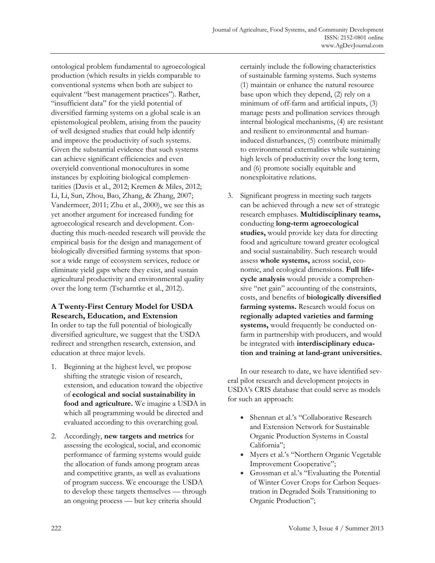ontological problem fundamental to agroecological production (which results in yields comparable to conventional systems when both are subject to equivalent "best management practices"). Rather, "insufficient data" for the yield potential of diversified farming systems on a global scale is an epistemological problem, arising from the paucity of well designed studies that could help identify and improve the productivity of such systems. Given the substantial evidence that such systems can achieve significant efficiencies and even overyield conventional monocultures in some instances by exploiting biological complementarities (Davis et al., 2012; Kremen & Miles, 2012; Li, Li, Sun, Zhou, Bao, Zhang, & Zhang, 2007; Vandermeer, 2011; Zhu et al., 2000), we see this as yet another argument for increased funding for agroecological research and development. Conducting this much-needed research will provide the empirical basis for the design and management of biologically diversified farming systems that sponsor a wide range of ecosystem services, reduce or eliminate yield gaps where they exist, and sustain agricultural productivity and environmental quality over the long term (Tscharntke et al., 2012).

# **A Twenty-First Century Model for USDA Research, Education, and Extension**

In order to tap the full potential of biologically diversified agriculture, we suggest that the USDA redirect and strengthen research, extension, and education at three major levels.

- 1. Beginning at the highest level, we propose shifting the strategic vision of research, extension, and education toward the objective of **ecological and social sustainability in food and agriculture.** We imagine a USDA in which all programming would be directed and evaluated according to this overarching goal.
- 2. Accordingly, **new targets and metrics** for assessing the ecological, social, and economic performance of farming systems would guide the allocation of funds among program areas and competitive grants, as well as evaluations of program success. We encourage the USDA to develop these targets themselves — through an ongoing process — but key criteria should

certainly include the following characteristics of sustainable farming systems. Such systems (1) maintain or enhance the natural resource base upon which they depend, (2) rely on a minimum of off-farm and artificial inputs, (3) manage pests and pollination services through internal biological mechanisms, (4) are resistant and resilient to environmental and humaninduced disturbances, (5) contribute minimally to environmental externalities while sustaining high levels of productivity over the long term, and (6) promote socially equitable and nonexploitative relations.

3. Significant progress in meeting such targets can be achieved through a new set of strategic research emphases. **Multidisciplinary teams,** conducting **long-term agroecological studies,** would provide key data for directing food and agriculture toward greater ecological and social sustainability. Such research would assess **whole systems,** across social, economic, and ecological dimensions. **Full lifecycle analysis** would provide a comprehensive "net gain" accounting of the constraints, costs, and benefits of **biologically diversified farming systems.** Research would focus on **regionally adapted varieties and farming systems,** would frequently be conducted onfarm in partnership with producers, and would be integrated with **interdisciplinary education and training at land-grant universities.**

 In our research to date, we have identified several pilot research and development projects in USDA's CRIS database that could serve as models for such an approach:

- Shennan et al.'s "Collaborative Research and Extension Network for Sustainable Organic Production Systems in Coastal California";
- Myers et al.'s "Northern Organic Vegetable Improvement Cooperative";
- Grossman et al.'s "Evaluating the Potential of Winter Cover Crops for Carbon Sequestration in Degraded Soils Transitioning to Organic Production";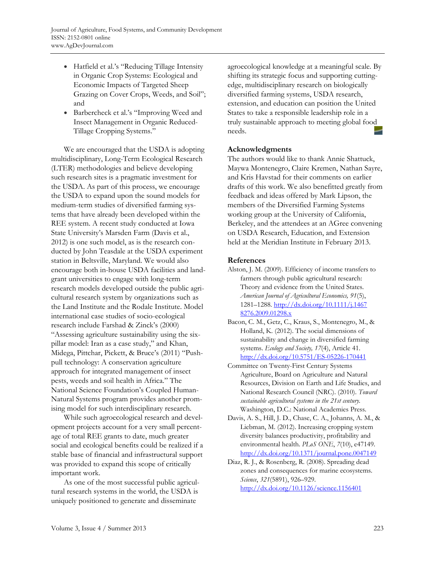- Hatfield et al.'s "Reducing Tillage Intensity in Organic Crop Systems: Ecological and Economic Impacts of Targeted Sheep Grazing on Cover Crops, Weeds, and Soil"; and
- Barbercheck et al.'s "Improving Weed and Insect Management in Organic Reduced-Tillage Cropping Systems."

 We are encouraged that the USDA is adopting multidisciplinary, Long-Term Ecological Research (LTER) methodologies and believe developing such research sites is a pragmatic investment for the USDA. As part of this process, we encourage the USDA to expand upon the sound models for medium-term studies of diversified farming systems that have already been developed within the REE system. A recent study conducted at Iowa State University's Marsden Farm (Davis et al., 2012) is one such model, as is the research conducted by John Teasdale at the USDA experiment station in Beltsville, Maryland. We would also encourage both in-house USDA facilities and landgrant universities to engage with long-term research models developed outside the public agricultural research system by organizations such as the Land Institute and the Rodale Institute. Model international case studies of socio-ecological research include Farshad & Zinck's (2000) "Assessing agriculture sustainability using the sixpillar model: Iran as a case study," and Khan, Midega, Pittchar, Pickett, & Bruce's (2011) "Pushpull technology: A conservation agriculture approach for integrated management of insect pests, weeds and soil health in Africa." The National Science Foundation's Coupled Human-Natural Systems program provides another promising model for such interdisciplinary research.

 While such agroecological research and development projects account for a very small percentage of total REE grants to date, much greater social and ecological benefits could be realized if a stable base of financial and infrastructural support was provided to expand this scope of critically important work.

 As one of the most successful public agricultural research systems in the world, the USDA is uniquely positioned to generate and disseminate

agroecological knowledge at a meaningful scale. By shifting its strategic focus and supporting cuttingedge, multidisciplinary research on biologically diversified farming systems, USDA research, extension, and education can position the United States to take a responsible leadership role in a truly sustainable approach to meeting global food needs.

#### **Acknowledgments**

The authors would like to thank Annie Shattuck, Maywa Montenegro, Claire Kremen, Nathan Sayre, and Kris Havstad for their comments on earlier drafts of this work. We also benefitted greatly from feedback and ideas offered by Mark Lipson, the members of the Diversified Farming Systems working group at the University of California, Berkeley, and the attendees at an AGree convening on USDA Research, Education, and Extension held at the Meridian Institute in February 2013.

### **References**

- Alston, J. M. (2009). Efficiency of income transfers to farmers through public agricultural research: Theory and evidence from the United States. *American Journal of Agricultural Economics, 91*(5), 1281–1288. http://dx.doi.org/10.1111/j.1467 8276.2009.01298.x
- Bacon, C. M., Getz, C., Kraus, S., Montenegro, M., & Holland, K. (2012). The social dimensions of sustainability and change in diversified farming systems. *Ecology and Society, 17*(4), Article 41. http://dx.doi.org/10.5751/ES-05226-170441
- Committee on Twenty-First Century Systems Agriculture, Board on Agriculture and Natural Resources, Division on Earth and Life Studies, and National Research Council (NRC). (2010). *Toward sustainable agricultural systems in the 21st century.*  Washington, D.C.: National Academies Press.
- Davis, A. S., Hill, J. D., Chase, C. A., Johanns, A. M., & Liebman, M. (2012). Increasing cropping system diversity balances productivity, profitability and environmental health. *PLoS ONE*, *7*(10), e47149. http://dx.doi.org/10.1371/journal.pone.0047149
- Diaz, R. J., & Rosenberg, R. (2008). Spreading dead zones and consequences for marine ecosystems. *Science*, *321*(5891), 926–929. http://dx.doi.org/10.1126/science.1156401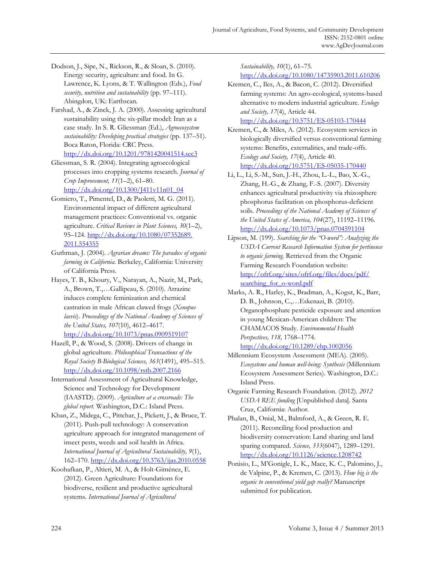- Dodson, J., Sipe, N., Rickson, R., & Sloan, S. (2010). Energy security, agriculture and food. In G. Lawrence, K. Lyons, & T. Wallington (Eds.), *Food security, nutrition and sustainability* (pp. 97–111). Abingdon, UK: Earthscan.
- Farshad, A., & Zinck, J. A. (2000). Assessing agricultural sustainability using the six-pillar model: Iran as a case study. In S. R. Gliessman (Ed.), *Agroecosystem sustainability: Developing practical strategies* (pp. 137–51). Boca Raton, Florida: CRC Press. http://dx.doi.org/10.1201/9781420041514.sec3
- Gliessman, S. R. (2004). Integrating agroecological processes into cropping systems research. *Journal of Crop Improvement, 11*(1–2), 61–80. http://dx.doi.org/10.1300/J411v11n01\_04
- Gomiero, T., Pimentel, D., & Paoletti, M. G. (2011). Environmental impact of different agricultural management practices: Conventional vs. organic agriculture. *Critical Reviews in Plant Sciences, 30*(1–2), [95–124. http://dx.doi.org/10.1080/07352689.](http://dx.doi.org/10.1080/07352689.2011.554355)  2011.554355
- Guthman, J. (2004). *Agrarian dreams: The paradox of organic farming in California*. Berkeley, California: University of California Press.
- Hayes, T. B., Khoury, V., Narayan, A., Nazir, M., Park, A., Brown, T.,…Gallipeau, S. (2010). Atrazine induces complete feminization and chemical castration in male African clawed frogs (*Xenopus laevis*). *Proceedings of the National Academy of Sciences of the United States, 107*(10), 4612–4617. http://dx.doi.org/10.1073/pnas.0909519107
- Hazell, P., & Wood, S. (2008). Drivers of change in global agriculture. *Philosophical Transactions of the Royal Society B-Biological Sciences, 363*(1491), 495–515. http://dx.doi.org/10.1098/rstb.2007.2166
- International Assessment of Agricultural Knowledge, Science and Technology for Development (IAASTD). (2009). *Agriculture at a crossroads: The global report.* Washington, D.C.: Island Press.
- Khan, Z., Midega, C., Pittchar, J., Pickett, J., & Bruce, T. (2011). Push-pull technology: A conservation agriculture approach for integrated management of insect pests, weeds and soil health in Africa. *International Journal of Agricultural Sustainability, 9*(1), 162–170. http://dx.doi.org/10.3763/ijas.2010.0558
- Koohafkan, P., Altieri, M. A., & Holt-Giménez, E. (2012). Green Agriculture: Foundations for biodiverse, resilient and productive agricultural systems. *International Journal of Agricultural*

*Sustainability, 10*(1), 61–75. http://dx.doi.org/10.1080/14735903.2011.610206

Kremen, C., Iles, A., & Bacon, C. (2012). Diversified farming systems: An agro-ecological, systems-based alternative to modern industrial agriculture. *Ecology and Society, 17*(4), Article 44.

http://dx.doi.org/10.5751/ES-05103-170444 Kremen, C., & Miles, A. (2012). Ecosystem services in

- biologically diversified versus conventional farming systems: Benefits, externalities, and trade-offs. *Ecology and Society, 17*(4), Article 40. http://dx.doi.org/10.5751/ES-05035-170440
- Li, L., Li, S.-M., Sun, J.-H., Zhou, L.-L., Bao, X.-G., Zhang, H.-G., & Zhang, F.-S. (2007). Diversity enhances agricultural productivity via rhizosphere phosphorus facilitation on phosphorus-deficient soils. *Proceedings of the National Academy of Sciences of the United States of America, 104*(27), 11192–11196. http://dx.doi.org/10.1073/pnas.0704591104
- Lipson, M. (199). *Searching for the "O-word": Analyzing the USDA Current Research Information System for pertinence to organic farming.* Retrieved from the Organic Farming Research Foundation website: [http://ofrf.org/sites/ofrf.org/files/docs/pdf/](http://ofrf.org/sites/ofrf.org/files/docs/pdf/searching_for_o-word.pdf) searching for o-word.pdf
- Marks, A. R., Harley, K., Bradman, A., Kogut, K., Barr, D. B., Johnson, C.,…Eskenazi, B. (2010). Organophosphate pesticide exposure and attention in young Mexican-American children: The CHAMACOS Study. *Environmental Health Perspectives, 118,* 1768–1774. http://dx.doi.org/10.1289/ehp.1002056
- Millennium Ecosystem Assessment (MEA). (2005). *Ecosystems and human well-being: Synthesis* (Millennium Ecosystem Assessment Series). Washington, D.C.: Island Press.
- Organic Farming Research Foundation. (2012). *2012 USDA REE funding* [Unpublished data]. Santa Cruz, California: Author.
- Phalan, B., Onial, M., Balmford, A., & Green, R. E. (2011). Reconciling food production and biodiversity conservation: Land sharing and land sparing compared. *Science, 333*(6047), 1289–1291. http://dx.doi.org/10.1126/science.1208742
- Ponisio, L., M'Gonigle, L. K., Mace, K. C., Palomino, J., de Valpine, P., & Kremen, C. (2013). *How big is the organic to conventional yield gap really?* Manuscript submitted for publication.